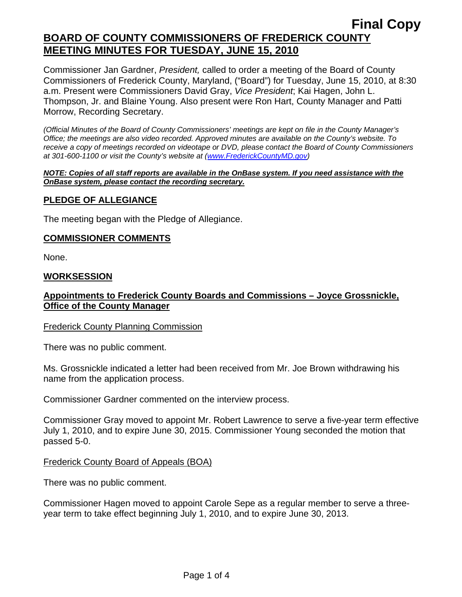Commissioner Jan Gardner, *President,* called to order a meeting of the Board of County Commissioners of Frederick County, Maryland, ("Board") for Tuesday, June 15, 2010, at 8:30 a.m. Present were Commissioners David Gray, *Vice President*; Kai Hagen, John L. Thompson, Jr. and Blaine Young. Also present were Ron Hart, County Manager and Patti Morrow, Recording Secretary.

*(Official Minutes of the Board of County Commissioners' meetings are kept on file in the County Manager's Office; the meetings are also video recorded. Approved minutes are available on the County's website. To receive a copy of meetings recorded on videotape or DVD, please contact the Board of County Commissioners at 301-600-1100 or visit the County's website at ([www.FrederickCountyMD.gov](http://www.frederickcountymd.gov/))* 

#### *NOTE: Copies of all staff reports are available in the OnBase system. If you need assistance with the OnBase system, please contact the recording secretary.*

#### **PLEDGE OF ALLEGIANCE**

The meeting began with the Pledge of Allegiance.

#### **COMMISSIONER COMMENTS**

None.

#### **WORKSESSION**

### **Appointments to Frederick County Boards and Commissions – Joyce Grossnickle, Office of the County Manager**

#### Frederick County Planning Commission

There was no public comment.

Ms. Grossnickle indicated a letter had been received from Mr. Joe Brown withdrawing his name from the application process.

Commissioner Gardner commented on the interview process.

Commissioner Gray moved to appoint Mr. Robert Lawrence to serve a five-year term effective July 1, 2010, and to expire June 30, 2015. Commissioner Young seconded the motion that passed 5-0.

#### Frederick County Board of Appeals (BOA)

There was no public comment.

Commissioner Hagen moved to appoint Carole Sepe as a regular member to serve a threeyear term to take effect beginning July 1, 2010, and to expire June 30, 2013.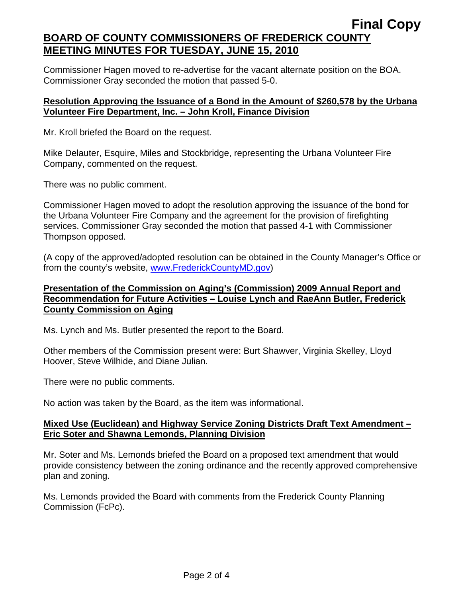Commissioner Hagen moved to re-advertise for the vacant alternate position on the BOA. Commissioner Gray seconded the motion that passed 5-0.

#### **Resolution Approving the Issuance of a Bond in the Amount of \$260,578 by the Urbana Volunteer Fire Department, Inc. – John Kroll, Finance Division**

Mr. Kroll briefed the Board on the request.

Mike Delauter, Esquire, Miles and Stockbridge, representing the Urbana Volunteer Fire Company, commented on the request.

There was no public comment.

Commissioner Hagen moved to adopt the resolution approving the issuance of the bond for the Urbana Volunteer Fire Company and the agreement for the provision of firefighting services. Commissioner Gray seconded the motion that passed 4-1 with Commissioner Thompson opposed.

(A copy of the approved/adopted resolution can be obtained in the County Manager's Office or from the county's website, [www.FrederickCountyMD.gov](http://www.frederickcountymd.gov/))

### **Presentation of the Commission on Aging's (Commission) 2009 Annual Report and Recommendation for Future Activities – Louise Lynch and RaeAnn Butler, Frederick County Commission on Aging**

Ms. Lynch and Ms. Butler presented the report to the Board.

Other members of the Commission present were: Burt Shawver, Virginia Skelley, Lloyd Hoover, Steve Wilhide, and Diane Julian.

There were no public comments.

No action was taken by the Board, as the item was informational.

### **Mixed Use (Euclidean) and Highway Service Zoning Districts Draft Text Amendment – Eric Soter and Shawna Lemonds, Planning Division**

Mr. Soter and Ms. Lemonds briefed the Board on a proposed text amendment that would provide consistency between the zoning ordinance and the recently approved comprehensive plan and zoning.

Ms. Lemonds provided the Board with comments from the Frederick County Planning Commission (FcPc).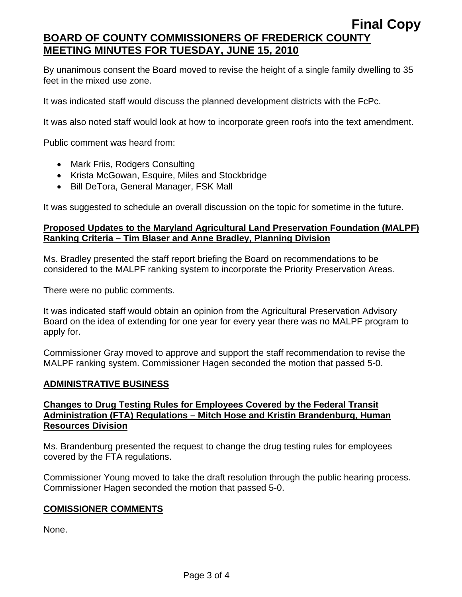By unanimous consent the Board moved to revise the height of a single family dwelling to 35 feet in the mixed use zone.

It was indicated staff would discuss the planned development districts with the FcPc.

It was also noted staff would look at how to incorporate green roofs into the text amendment.

Public comment was heard from:

- Mark Friis, Rodgers Consulting
- Krista McGowan, Esquire, Miles and Stockbridge
- Bill DeTora, General Manager, FSK Mall

It was suggested to schedule an overall discussion on the topic for sometime in the future.

### **Proposed Updates to the Maryland Agricultural Land Preservation Foundation (MALPF) Ranking Criteria – Tim Blaser and Anne Bradley, Planning Division**

Ms. Bradley presented the staff report briefing the Board on recommendations to be considered to the MALPF ranking system to incorporate the Priority Preservation Areas.

There were no public comments.

It was indicated staff would obtain an opinion from the Agricultural Preservation Advisory Board on the idea of extending for one year for every year there was no MALPF program to apply for.

Commissioner Gray moved to approve and support the staff recommendation to revise the MALPF ranking system. Commissioner Hagen seconded the motion that passed 5-0.

#### **ADMINISTRATIVE BUSINESS**

#### **Changes to Drug Testing Rules for Employees Covered by the Federal Transit Administration (FTA) Regulations – Mitch Hose and Kristin Brandenburg, Human Resources Division**

Ms. Brandenburg presented the request to change the drug testing rules for employees covered by the FTA regulations.

Commissioner Young moved to take the draft resolution through the public hearing process. Commissioner Hagen seconded the motion that passed 5-0.

#### **COMISSIONER COMMENTS**

None.